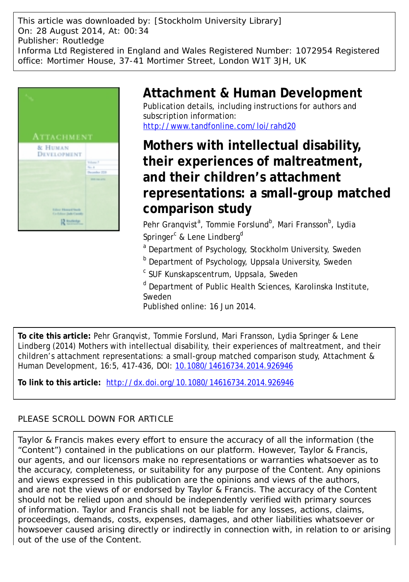This article was downloaded by: [Stockholm University Library] On: 28 August 2014, At: 00:34 Publisher: Routledge Informa Ltd Registered in England and Wales Registered Number: 1072954 Registered office: Mortimer House, 37-41 Mortimer Street, London W1T 3JH, UK



# **Attachment & Human Development**

Publication details, including instructions for authors and subscription information: <http://www.tandfonline.com/loi/rahd20>

**Mothers with intellectual disability, their experiences of maltreatment, and their children's attachment representations: a small-group matched comparison study**

Pehr Granqvist<sup>a</sup>, Tommie Forslund<sup>b</sup>, Mari Fransson<sup>b</sup>, Lydia Springer<sup>c</sup> & Lene Lindberg<sup>d</sup>

- <sup>a</sup> Department of Psychology, Stockholm University, Sweden
- b Department of Psychology, Uppsala University, Sweden
- c SUF Kunskapscentrum, Uppsala, Sweden
- d Department of Public Health Sciences, Karolinska Institute, Sweden

Published online: 16 Jun 2014.

**To cite this article:** Pehr Granqvist, Tommie Forslund, Mari Fransson, Lydia Springer & Lene Lindberg (2014) Mothers with intellectual disability, their experiences of maltreatment, and their children's attachment representations: a small-group matched comparison study, Attachment & Human Development, 16:5, 417-436, DOI: [10.1080/14616734.2014.926946](http://www.tandfonline.com/action/showCitFormats?doi=10.1080/14616734.2014.926946)

**To link to this article:** <http://dx.doi.org/10.1080/14616734.2014.926946>

# PLEASE SCROLL DOWN FOR ARTICLE

Taylor & Francis makes every effort to ensure the accuracy of all the information (the "Content") contained in the publications on our platform. However, Taylor & Francis, our agents, and our licensors make no representations or warranties whatsoever as to the accuracy, completeness, or suitability for any purpose of the Content. Any opinions and views expressed in this publication are the opinions and views of the authors, and are not the views of or endorsed by Taylor & Francis. The accuracy of the Content should not be relied upon and should be independently verified with primary sources of information. Taylor and Francis shall not be liable for any losses, actions, claims, proceedings, demands, costs, expenses, damages, and other liabilities whatsoever or howsoever caused arising directly or indirectly in connection with, in relation to or arising out of the use of the Content.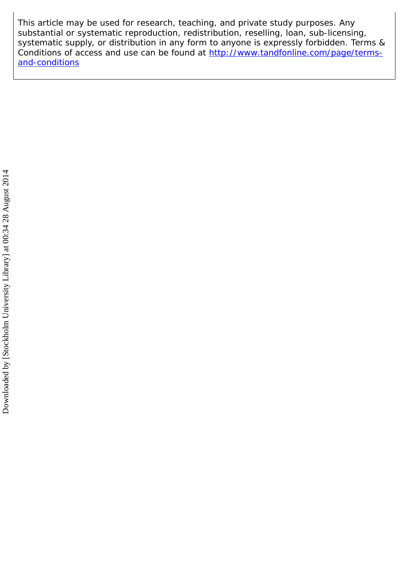This article may be used for research, teaching, and private study purposes. Any substantial or systematic reproduction, redistribution, reselling, loan, sub-licensing, systematic supply, or distribution in any form to anyone is expressly forbidden. Terms & Conditions of access and use can be found at [http://www.tandfonline.com/page/terms](http://www.tandfonline.com/page/terms-and-conditions)[and-conditions](http://www.tandfonline.com/page/terms-and-conditions)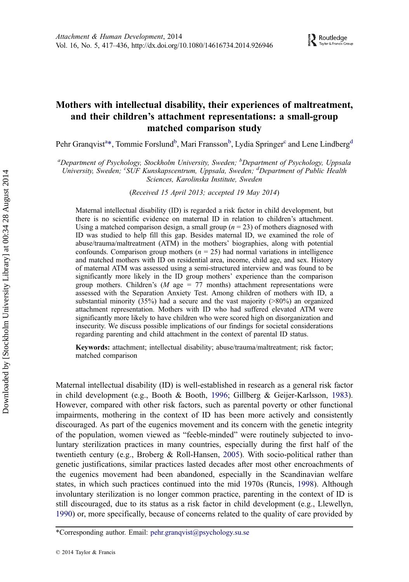# Mothers with intellectual disability, their experiences of maltreatment, and their children's attachment representations: a small-group matched comparison study

Pehr Granqvist<sup>a\*</sup>, Tommie Forslund<sup>b</sup>, Mari Fransson<sup>b</sup>, Lydia Springer<sup>c</sup> and Lene Lindberg<sup>d</sup>

<sup>a</sup>Department of Psychology, Stockholm University, Sweden; <sup>b</sup>Department of Psychology, Uppsala University, Sweden; CSUF Kunskapscentrum, Uppsala, Sweden; <sup>d</sup>Department of Public Health Sciences, Karolinska Institute, Sweden

(Received 15 April 2013; accepted 19 May 2014)

Maternal intellectual disability (ID) is regarded a risk factor in child development, but there is no scientific evidence on maternal ID in relation to children's attachment. Using a matched comparison design, a small group ( $n = 23$ ) of mothers diagnosed with ID was studied to help fill this gap. Besides maternal ID, we examined the role of abuse/trauma/maltreatment (ATM) in the mothers' biographies, along with potential confounds. Comparison group mothers  $(n = 25)$  had normal variations in intelligence and matched mothers with ID on residential area, income, child age, and sex. History of maternal ATM was assessed using a semi-structured interview and was found to be significantly more likely in the ID group mothers' experience than the comparison group mothers. Children's ( $M$  age = 77 months) attachment representations were assessed with the Separation Anxiety Test. Among children of mothers with ID, a substantial minority (35%) had a secure and the vast majority (>80%) an organized attachment representation. Mothers with ID who had suffered elevated ATM were significantly more likely to have children who were scored high on disorganization and insecurity. We discuss possible implications of our findings for societal considerations regarding parenting and child attachment in the context of parental ID status.

Keywords: attachment; intellectual disability; abuse/trauma/maltreatment; risk factor; matched comparison

Maternal intellectual disability (ID) is well-established in research as a general risk factor in child development (e.g., Booth & Booth, [1996;](#page-18-0) Gillberg & Geijer-Karlsson, [1983](#page-19-0)). However, compared with other risk factors, such as parental poverty or other functional impairments, mothering in the context of ID has been more actively and consistently discouraged. As part of the eugenics movement and its concern with the genetic integrity of the population, women viewed as "feeble-minded" were routinely subjected to involuntary sterilization practices in many countries, especially during the first half of the twentieth century (e.g., Broberg & Roll-Hansen, [2005](#page-18-0)). With socio-political rather than genetic justifications, similar practices lasted decades after most other encroachments of the eugenics movement had been abandoned, especially in the Scandinavian welfare states, in which such practices continued into the mid 1970s (Runcis, [1998\)](#page-20-0). Although involuntary sterilization is no longer common practice, parenting in the context of ID is still discouraged, due to its status as a risk factor in child development (e.g., Llewellyn, [1990](#page-19-0)) or, more specifically, because of concerns related to the quality of care provided by

<sup>\*</sup>Corresponding author. Email: pehr.granqvist@psychology.su.se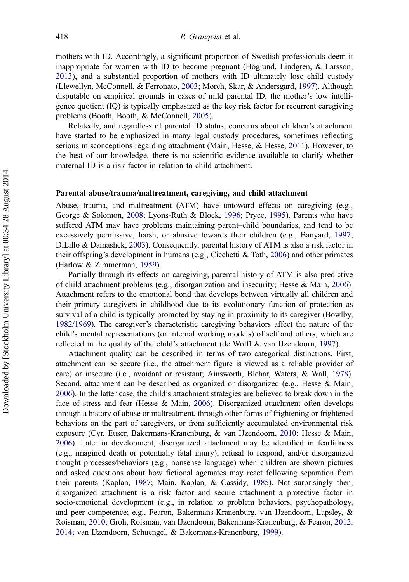mothers with ID. Accordingly, a significant proportion of Swedish professionals deem it inappropriate for women with ID to become pregnant (Höglund, Lindgren, & Larsson, [2013](#page-19-0)), and a substantial proportion of mothers with ID ultimately lose child custody (Llewellyn, McConnell, & Ferronato, [2003](#page-19-0); Morch, Skar, & Andersgard, [1997](#page-20-0)). Although disputable on empirical grounds in cases of mild parental ID, the mother's low intelligence quotient (IQ) is typically emphasized as the key risk factor for recurrent caregiving problems (Booth, Booth, & McConnell, [2005](#page-18-0)).

Relatedly, and regardless of parental ID status, concerns about children's attachment have started to be emphasized in many legal custody procedures, sometimes reflecting serious misconceptions regarding attachment (Main, Hesse, & Hesse, [2011](#page-20-0)). However, to the best of our knowledge, there is no scientific evidence available to clarify whether maternal ID is a risk factor in relation to child attachment.

#### Parental abuse/trauma/maltreatment, caregiving, and child attachment

Abuse, trauma, and maltreatment (ATM) have untoward effects on caregiving (e.g., George & Solomon, [2008;](#page-19-0) Lyons-Ruth & Block, [1996](#page-20-0); Pryce, [1995\)](#page-20-0). Parents who have suffered ATM may have problems maintaining parent–child boundaries, and tend to be excessively permissive, harsh, or abusive towards their children (e.g., Banyard, [1997](#page-18-0); DiLillo & Damashek, [2003\)](#page-19-0). Consequently, parental history of ATM is also a risk factor in their offspring's development in humans (e.g., Cicchetti & Toth, [2006](#page-18-0)) and other primates (Harlow & Zimmerman, [1959\)](#page-19-0).

Partially through its effects on caregiving, parental history of ATM is also predictive of child attachment problems (e.g., disorganization and insecurity; Hesse & Main, [2006](#page-19-0)). Attachment refers to the emotional bond that develops between virtually all children and their primary caregivers in childhood due to its evolutionary function of protection as survival of a child is typically promoted by staying in proximity to its caregiver (Bowlby, [1982/1969\)](#page-18-0). The caregiver's characteristic caregiving behaviors affect the nature of the child's mental representations (or internal working models) of self and others, which are reflected in the quality of the child's attachment (de Wolff & van IJzendoorn, [1997](#page-19-0)).

Attachment quality can be described in terms of two categorical distinctions. First, attachment can be secure (i.e., the attachment figure is viewed as a reliable provider of care) or insecure (i.e., avoidant or resistant; Ainsworth, Blehar, Waters, & Wall, [1978](#page-18-0)). Second, attachment can be described as organized or disorganized (e.g., Hesse & Main, [2006](#page-19-0)). In the latter case, the child's attachment strategies are believed to break down in the face of stress and fear (Hesse & Main, [2006\)](#page-19-0). Disorganized attachment often develops through a history of abuse or maltreatment, through other forms of frightening or frightened behaviors on the part of caregivers, or from sufficiently accumulated environmental risk exposure (Cyr, Euser, Bakermans-Kranenburg, & van IJzendoorn, [2010;](#page-19-0) Hesse & Main, [2006](#page-19-0)). Later in development, disorganized attachment may be identified in fearfulness (e.g., imagined death or potentially fatal injury), refusal to respond, and/or disorganized thought processes/behaviors (e.g., nonsense language) when children are shown pictures and asked questions about how fictional agemates may react following separation from their parents (Kaplan, [1987](#page-19-0); Main, Kaplan, & Cassidy, [1985](#page-20-0)). Not surprisingly then, disorganized attachment is a risk factor and secure attachment a protective factor in socio-emotional development (e.g., in relation to problem behaviors, psychopathology, and peer competence; e.g., Fearon, Bakermans-Kranenburg, van IJzendoorn, Lapsley, & Roisman, [2010;](#page-19-0) Groh, Roisman, van IJzendoorn, Bakermans-Kranenburg, & Fearon, [2012](#page-19-0), [2014](#page-19-0); van IJzendoorn, Schuengel, & Bakermans-Kranenburg, [1999](#page-21-0)).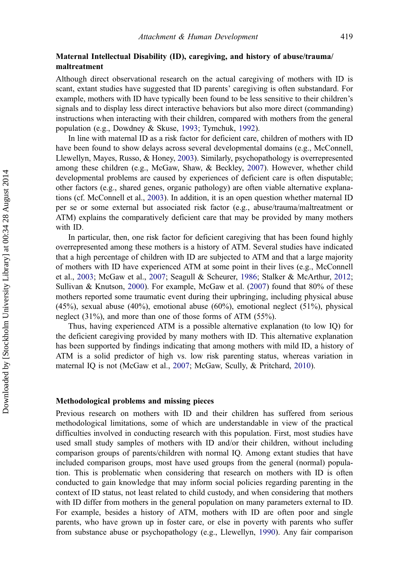# Maternal Intellectual Disability (ID), caregiving, and history of abuse/trauma/ maltreatment

Although direct observational research on the actual caregiving of mothers with ID is scant, extant studies have suggested that ID parents' caregiving is often substandard. For example, mothers with ID have typically been found to be less sensitive to their children's signals and to display less direct interactive behaviors but also more direct (commanding) instructions when interacting with their children, compared with mothers from the general population (e.g., Dowdney & Skuse, [1993;](#page-19-0) Tymchuk, [1992\)](#page-20-0).

In line with maternal ID as a risk factor for deficient care, children of mothers with ID have been found to show delays across several developmental domains (e.g., McConnell, Llewellyn, Mayes, Russo, & Honey, [2003](#page-20-0)). Similarly, psychopathology is overrepresented among these children (e.g., McGaw, Shaw, & Beckley, [2007](#page-20-0)). However, whether child developmental problems are caused by experiences of deficient care is often disputable; other factors (e.g., shared genes, organic pathology) are often viable alternative explanations (cf. McConnell et al., [2003\)](#page-20-0). In addition, it is an open question whether maternal ID per se or some external but associated risk factor (e.g., abuse/trauma/maltreatment or ATM) explains the comparatively deficient care that may be provided by many mothers with ID.

In particular, then, one risk factor for deficient caregiving that has been found highly overrepresented among these mothers is a history of ATM. Several studies have indicated that a high percentage of children with ID are subjected to ATM and that a large majority of mothers with ID have experienced ATM at some point in their lives (e.g., McConnell et al., [2003](#page-20-0); McGaw et al., [2007;](#page-20-0) Seagull & Scheurer, [1986](#page-20-0); Stalker & McArthur, [2012](#page-20-0); Sullivan & Knutson, [2000](#page-20-0)). For example, McGaw et al. [\(2007](#page-20-0)) found that 80% of these mothers reported some traumatic event during their upbringing, including physical abuse (45%), sexual abuse (40%), emotional abuse (60%), emotional neglect (51%), physical neglect (31%), and more than one of those forms of ATM (55%).

Thus, having experienced ATM is a possible alternative explanation (to low IQ) for the deficient caregiving provided by many mothers with ID. This alternative explanation has been supported by findings indicating that among mothers with mild ID, a history of ATM is a solid predictor of high vs. low risk parenting status, whereas variation in maternal IQ is not (McGaw et al., [2007;](#page-20-0) McGaw, Scully, & Pritchard, [2010\)](#page-20-0).

# Methodological problems and missing pieces

Previous research on mothers with ID and their children has suffered from serious methodological limitations, some of which are understandable in view of the practical difficulties involved in conducting research with this population. First, most studies have used small study samples of mothers with ID and/or their children, without including comparison groups of parents/children with normal IQ. Among extant studies that have included comparison groups, most have used groups from the general (normal) population. This is problematic when considering that research on mothers with ID is often conducted to gain knowledge that may inform social policies regarding parenting in the context of ID status, not least related to child custody, and when considering that mothers with ID differ from mothers in the general population on many parameters external to ID. For example, besides a history of ATM, mothers with ID are often poor and single parents, who have grown up in foster care, or else in poverty with parents who suffer from substance abuse or psychopathology (e.g., Llewellyn, [1990](#page-19-0)). Any fair comparison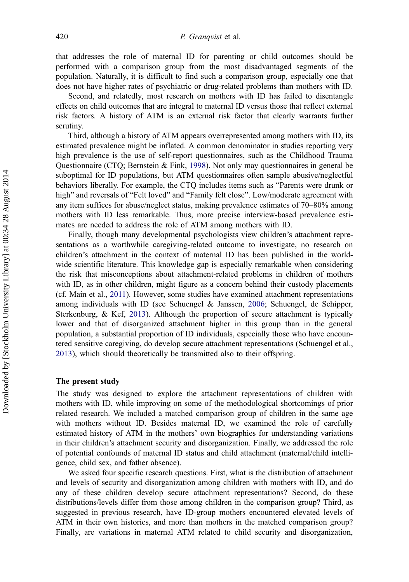that addresses the role of maternal ID for parenting or child outcomes should be performed with a comparison group from the most disadvantaged segments of the population. Naturally, it is difficult to find such a comparison group, especially one that does not have higher rates of psychiatric or drug-related problems than mothers with ID.

Second, and relatedly, most research on mothers with ID has failed to disentangle effects on child outcomes that are integral to maternal ID versus those that reflect external risk factors. A history of ATM is an external risk factor that clearly warrants further scrutiny.

Third, although a history of ATM appears overrepresented among mothers with ID, its estimated prevalence might be inflated. A common denominator in studies reporting very high prevalence is the use of self-report questionnaires, such as the Childhood Trauma Questionnaire (CTQ; Bernstein & Fink, [1998](#page-18-0)). Not only may questionnaires in general be suboptimal for ID populations, but ATM questionnaires often sample abusive/neglectful behaviors liberally. For example, the CTQ includes items such as "Parents were drunk or high" and reversals of "Felt loved" and "Family felt close". Low/moderate agreement with any item suffices for abuse/neglect status, making prevalence estimates of 70–80% among mothers with ID less remarkable. Thus, more precise interview-based prevalence estimates are needed to address the role of ATM among mothers with ID.

Finally, though many developmental psychologists view children's attachment representations as a worthwhile caregiving-related outcome to investigate, no research on children's attachment in the context of maternal ID has been published in the worldwide scientific literature. This knowledge gap is especially remarkable when considering the risk that misconceptions about attachment-related problems in children of mothers with ID, as in other children, might figure as a concern behind their custody placements (cf. Main et al., [2011](#page-20-0)). However, some studies have examined attachment representations among individuals with ID (see Schuengel & Janssen, [2006](#page-20-0); Schuengel, de Schipper, Sterkenburg, & Kef, [2013](#page-20-0)). Although the proportion of secure attachment is typically lower and that of disorganized attachment higher in this group than in the general population, a substantial proportion of ID individuals, especially those who have encountered sensitive caregiving, do develop secure attachment representations (Schuengel et al., [2013](#page-20-0)), which should theoretically be transmitted also to their offspring.

#### The present study

The study was designed to explore the attachment representations of children with mothers with ID, while improving on some of the methodological shortcomings of prior related research. We included a matched comparison group of children in the same age with mothers without ID. Besides maternal ID, we examined the role of carefully estimated history of ATM in the mothers' own biographies for understanding variations in their children's attachment security and disorganization. Finally, we addressed the role of potential confounds of maternal ID status and child attachment (maternal/child intelligence, child sex, and father absence).

We asked four specific research questions. First, what is the distribution of attachment and levels of security and disorganization among children with mothers with ID, and do any of these children develop secure attachment representations? Second, do these distributions/levels differ from those among children in the comparison group? Third, as suggested in previous research, have ID-group mothers encountered elevated levels of ATM in their own histories, and more than mothers in the matched comparison group? Finally, are variations in maternal ATM related to child security and disorganization,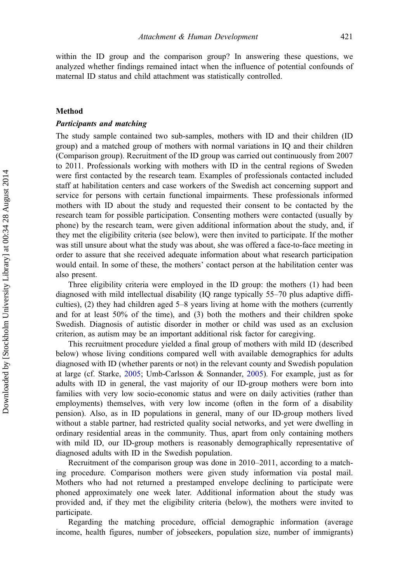within the ID group and the comparison group? In answering these questions, we analyzed whether findings remained intact when the influence of potential confounds of maternal ID status and child attachment was statistically controlled.

#### Method

#### Participants and matching

The study sample contained two sub-samples, mothers with ID and their children (ID group) and a matched group of mothers with normal variations in IQ and their children (Comparison group). Recruitment of the ID group was carried out continuously from 2007 to 2011. Professionals working with mothers with ID in the central regions of Sweden were first contacted by the research team. Examples of professionals contacted included staff at habilitation centers and case workers of the Swedish act concerning support and service for persons with certain functional impairments. These professionals informed mothers with ID about the study and requested their consent to be contacted by the research team for possible participation. Consenting mothers were contacted (usually by phone) by the research team, were given additional information about the study, and, if they met the eligibility criteria (see below), were then invited to participate. If the mother was still unsure about what the study was about, she was offered a face-to-face meeting in order to assure that she received adequate information about what research participation would entail. In some of these, the mothers' contact person at the habilitation center was also present.

Three eligibility criteria were employed in the ID group: the mothers (1) had been diagnosed with mild intellectual disability (IQ range typically 55–70 plus adaptive difficulties), (2) they had children aged 5–8 years living at home with the mothers (currently and for at least 50% of the time), and (3) both the mothers and their children spoke Swedish. Diagnosis of autistic disorder in mother or child was used as an exclusion criterion, as autism may be an important additional risk factor for caregiving.

This recruitment procedure yielded a final group of mothers with mild ID (described below) whose living conditions compared well with available demographics for adults diagnosed with ID (whether parents or not) in the relevant county and Swedish population at large (cf. Starke, [2005;](#page-20-0) Umb‐Carlsson & Sonnander, [2005\)](#page-21-0). For example, just as for adults with ID in general, the vast majority of our ID-group mothers were born into families with very low socio-economic status and were on daily activities (rather than employments) themselves, with very low income (often in the form of a disability pension). Also, as in ID populations in general, many of our ID-group mothers lived without a stable partner, had restricted quality social networks, and yet were dwelling in ordinary residential areas in the community. Thus, apart from only containing mothers with mild ID, our ID-group mothers is reasonably demographically representative of diagnosed adults with ID in the Swedish population.

Recruitment of the comparison group was done in 2010–2011, according to a matching procedure. Comparison mothers were given study information via postal mail. Mothers who had not returned a prestamped envelope declining to participate were phoned approximately one week later. Additional information about the study was provided and, if they met the eligibility criteria (below), the mothers were invited to participate.

Regarding the matching procedure, official demographic information (average income, health figures, number of jobseekers, population size, number of immigrants)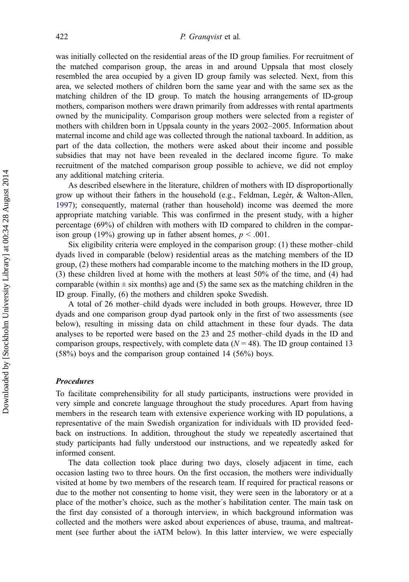was initially collected on the residential areas of the ID group families. For recruitment of the matched comparison group, the areas in and around Uppsala that most closely resembled the area occupied by a given ID group family was selected. Next, from this area, we selected mothers of children born the same year and with the same sex as the matching children of the ID group. To match the housing arrangements of ID-group mothers, comparison mothers were drawn primarily from addresses with rental apartments owned by the municipality. Comparison group mothers were selected from a register of mothers with children born in Uppsala county in the years 2002–2005. Information about maternal income and child age was collected through the national taxboard. In addition, as part of the data collection, the mothers were asked about their income and possible subsidies that may not have been revealed in the declared income figure. To make recruitment of the matched comparison group possible to achieve, we did not employ any additional matching criteria.

As described elsewhere in the literature, children of mothers with ID disproportionally grow up without their fathers in the household (e.g., Feldman, Legér, & Walton-Allen, [1997](#page-19-0)); consequently, maternal (rather than household) income was deemed the more appropriate matching variable. This was confirmed in the present study, with a higher percentage (69%) of children with mothers with ID compared to children in the comparison group (19%) growing up in father absent homes,  $p < .001$ .

Six eligibility criteria were employed in the comparison group: (1) these mother–child dyads lived in comparable (below) residential areas as the matching members of the ID group, (2) these mothers had comparable income to the matching mothers in the ID group, (3) these children lived at home with the mothers at least 50% of the time, and (4) had comparable (within  $\pm$  six months) age and (5) the same sex as the matching children in the ID group. Finally, (6) the mothers and children spoke Swedish.

A total of 26 mother–child dyads were included in both groups. However, three ID dyads and one comparison group dyad partook only in the first of two assessments (see below), resulting in missing data on child attachment in these four dyads. The data analyses to be reported were based on the 23 and 25 mother–child dyads in the ID and comparison groups, respectively, with complete data  $(N = 48)$ . The ID group contained 13 (58%) boys and the comparison group contained 14 (56%) boys.

#### Procedures

To facilitate comprehensibility for all study participants, instructions were provided in very simple and concrete language throughout the study procedures. Apart from having members in the research team with extensive experience working with ID populations, a representative of the main Swedish organization for individuals with ID provided feedback on instructions. In addition, throughout the study we repeatedly ascertained that study participants had fully understood our instructions, and we repeatedly asked for informed consent.

The data collection took place during two days, closely adjacent in time, each occasion lasting two to three hours. On the first occasion, the mothers were individually visited at home by two members of the research team. If required for practical reasons or due to the mother not consenting to home visit, they were seen in the laboratory or at a place of the mother's choice, such as the mother´s habilitation center. The main task on the first day consisted of a thorough interview, in which background information was collected and the mothers were asked about experiences of abuse, trauma, and maltreatment (see further about the iATM below). In this latter interview, we were especially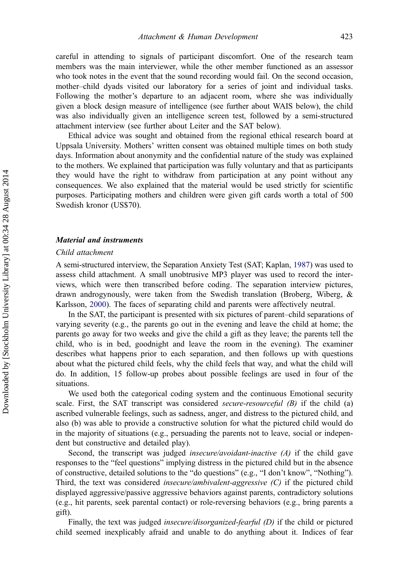careful in attending to signals of participant discomfort. One of the research team members was the main interviewer, while the other member functioned as an assessor who took notes in the event that the sound recording would fail. On the second occasion, mother–child dyads visited our laboratory for a series of joint and individual tasks. Following the mother's departure to an adjacent room, where she was individually given a block design measure of intelligence (see further about WAIS below), the child was also individually given an intelligence screen test, followed by a semi-structured attachment interview (see further about Leiter and the SAT below).

Ethical advice was sought and obtained from the regional ethical research board at Uppsala University. Mothers' written consent was obtained multiple times on both study days. Information about anonymity and the confidential nature of the study was explained to the mothers. We explained that participation was fully voluntary and that as participants they would have the right to withdraw from participation at any point without any consequences. We also explained that the material would be used strictly for scientific purposes. Participating mothers and children were given gift cards worth a total of 500 Swedish kronor (US\$70).

#### Material and instruments

## Child attachment

A semi-structured interview, the Separation Anxiety Test (SAT; Kaplan, [1987\)](#page-19-0) was used to assess child attachment. A small unobtrusive MP3 player was used to record the interviews, which were then transcribed before coding. The separation interview pictures, drawn androgynously, were taken from the Swedish translation (Broberg, Wiberg, & Karlsson, [2000](#page-18-0)). The faces of separating child and parents were affectively neutral.

In the SAT, the participant is presented with six pictures of parent–child separations of varying severity (e.g., the parents go out in the evening and leave the child at home; the parents go away for two weeks and give the child a gift as they leave; the parents tell the child, who is in bed, goodnight and leave the room in the evening). The examiner describes what happens prior to each separation, and then follows up with questions about what the pictured child feels, why the child feels that way, and what the child will do. In addition, 15 follow-up probes about possible feelings are used in four of the situations.

We used both the categorical coding system and the continuous Emotional security scale. First, the SAT transcript was considered *secure-resourceful*  $(B)$  if the child (a) ascribed vulnerable feelings, such as sadness, anger, and distress to the pictured child, and also (b) was able to provide a constructive solution for what the pictured child would do in the majority of situations (e.g., persuading the parents not to leave, social or independent but constructive and detailed play).

Second, the transcript was judged *insecure/avoidant-inactive*  $(A)$  if the child gave responses to the "feel questions" implying distress in the pictured child but in the absence of constructive, detailed solutions to the "do questions" (e.g., "I don't know", "Nothing"). Third, the text was considered *insecure/ambivalent-aggressive (C)* if the pictured child displayed aggressive/passive aggressive behaviors against parents, contradictory solutions (e.g., hit parents, seek parental contact) or role-reversing behaviors (e.g., bring parents a gift).

Finally, the text was judged *insecure/disorganized-fearful (D)* if the child or pictured child seemed inexplicably afraid and unable to do anything about it. Indices of fear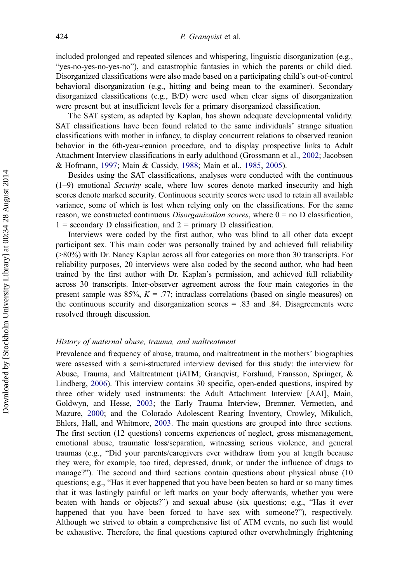included prolonged and repeated silences and whispering, linguistic disorganization (e.g., "yes-no-yes-no-yes-no"), and catastrophic fantasies in which the parents or child died. Disorganized classifications were also made based on a participating child's out-of-control behavioral disorganization (e.g., hitting and being mean to the examiner). Secondary disorganized classifications (e.g., B/D) were used when clear signs of disorganization were present but at insufficient levels for a primary disorganized classification.

The SAT system, as adapted by Kaplan, has shown adequate developmental validity. SAT classifications have been found related to the same individuals' strange situation classifications with mother in infancy, to display concurrent relations to observed reunion behavior in the 6th-year-reunion procedure, and to display prospective links to Adult Attachment Interview classifications in early adulthood (Grossmann et al., [2002;](#page-19-0) Jacobsen & Hofmann, [1997](#page-19-0); Main & Cassidy, [1988](#page-20-0); Main et al., [1985,](#page-20-0) [2005\)](#page-20-0).

Besides using the SAT classifications, analyses were conducted with the continuous  $(1-9)$  emotional *Security* scale, where low scores denote marked insecurity and high scores denote marked security. Continuous security scores were used to retain all available variance, some of which is lost when relying only on the classifications. For the same reason, we constructed continuous *Disorganization scores*, where  $0 =$  no D classification,  $1 =$  secondary D classification, and  $2 =$  primary D classification.

Interviews were coded by the first author, who was blind to all other data except participant sex. This main coder was personally trained by and achieved full reliability (>80%) with Dr. Nancy Kaplan across all four categories on more than 30 transcripts. For reliability purposes, 20 interviews were also coded by the second author, who had been trained by the first author with Dr. Kaplan's permission, and achieved full reliability across 30 transcripts. Inter-observer agreement across the four main categories in the present sample was  $85\%, K = .77$ ; intraclass correlations (based on single measures) on the continuous security and disorganization scores  $=$  .83 and .84. Disagreements were resolved through discussion.

#### History of maternal abuse, trauma, and maltreatment

Prevalence and frequency of abuse, trauma, and maltreatment in the mothers' biographies were assessed with a semi-structured interview devised for this study: the interview for Abuse, Trauma, and Maltreatment (iATM; Granqvist, Forslund, Fransson, Springer, & Lindberg, [2006](#page-19-0)). This interview contains 30 specific, open-ended questions, inspired by three other widely used instruments: the Adult Attachment Interview [AAI], Main, Goldwyn, and Hesse, [2003;](#page-20-0) the Early Trauma Interview, Bremner, Vermetten, and Mazure, [2000](#page-18-0); and the Colorado Adolescent Rearing Inventory, Crowley, Mikulich, Ehlers, Hall, and Whitmore, [2003](#page-18-0). The main questions are grouped into three sections. The first section (12 questions) concerns experiences of neglect, gross mismanagement, emotional abuse, traumatic loss/separation, witnessing serious violence, and general traumas (e.g., "Did your parents/caregivers ever withdraw from you at length because they were, for example, too tired, depressed, drunk, or under the influence of drugs to manage?"). The second and third sections contain questions about physical abuse (10 questions; e.g., "Has it ever happened that you have been beaten so hard or so many times that it was lastingly painful or left marks on your body afterwards, whether you were beaten with hands or objects?") and sexual abuse (six questions; e.g., "Has it ever happened that you have been forced to have sex with someone?"), respectively. Although we strived to obtain a comprehensive list of ATM events, no such list would be exhaustive. Therefore, the final questions captured other overwhelmingly frightening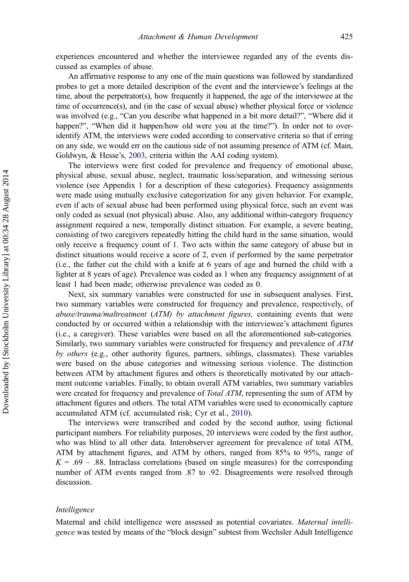experiences encountered and whether the interviewee regarded any of the events discussed as examples of abuse.

An affirmative response to any one of the main questions was followed by standardized probes to get a more detailed description of the event and the interviewee's feelings at the time, about the perpetrator(s), how frequently it happened, the age of the interviewee at the time of occurrence(s), and (in the case of sexual abuse) whether physical force or violence was involved (e.g., "Can you describe what happened in a bit more detail?", "Where did it happen?", "When did it happen/how old were you at the time?"). In order not to overidentify ATM, the interviews were coded according to conservative criteria so that if erring on any side, we would err on the cautious side of not assuming presence of ATM (cf. Main, Goldwyn, & Hesse's, [2003,](#page-20-0) criteria within the AAI coding system).

The interviews were first coded for prevalence and frequency of emotional abuse, physical abuse, sexual abuse, neglect, traumatic loss/separation, and witnessing serious violence (see Appendix 1 for a description of these categories). Frequency assignments were made using mutually exclusive categorization for any given behavior. For example, even if acts of sexual abuse had been performed using physical force, such an event was only coded as sexual (not physical) abuse. Also, any additional within-category frequency assignment required a new, temporally distinct situation. For example, a severe beating, consisting of two caregivers repeatedly hitting the child hard in the same situation, would only receive a frequency count of 1. Two acts within the same category of abuse but in distinct situations would receive a score of 2, even if performed by the same perpetrator (i.e., the father cut the child with a knife at 6 years of age and burned the child with a lighter at 8 years of age). Prevalence was coded as 1 when any frequency assignment of at least 1 had been made; otherwise prevalence was coded as 0.

Next, six summary variables were constructed for use in subsequent analyses. First, two summary variables were constructed for frequency and prevalence, respectively, of abuse/trauma/maltreatment (ATM) by attachment figures, containing events that were conducted by or occurred within a relationship with the interviewee's attachment figures (i.e., a caregiver). These variables were based on all the aforementioned sub-categories. Similarly, two summary variables were constructed for frequency and prevalence of ATM by others (e.g., other authority figures, partners, siblings, classmates). These variables were based on the abuse categories and witnessing serious violence. The distinction between ATM by attachment figures and others is theoretically motivated by our attachment outcome variables. Finally, to obtain overall ATM variables, two summary variables were created for frequency and prevalence of *Total ATM*, representing the sum of ATM by attachment figures and others. The total ATM variables were used to economically capture accumulated ATM (cf. accumulated risk; Cyr et al., [2010](#page-19-0)).

The interviews were transcribed and coded by the second author, using fictional participant numbers. For reliability purposes, 20 interviews were coded by the first author, who was blind to all other data. Interobserver agreement for prevalence of total ATM, ATM by attachment figures, and ATM by others, ranged from 85% to 95%, range of  $K = .69 - .88$ . Intraclass correlations (based on single measures) for the corresponding number of ATM events ranged from .87 to .92. Disagreements were resolved through discussion.

#### Intelligence

Maternal and child intelligence were assessed as potential covariates. Maternal intelligence was tested by means of the "block design" subtest from Wechsler Adult Intelligence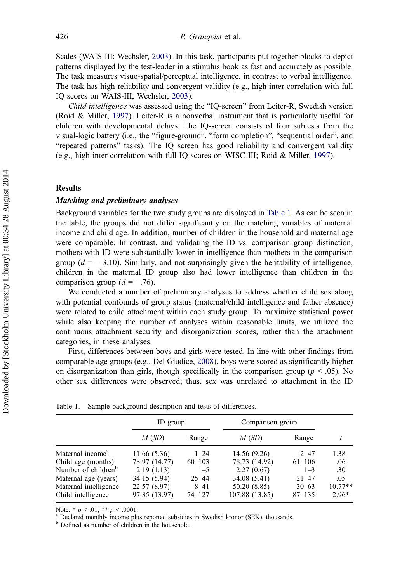Scales (WAIS-III; Wechsler, [2003](#page-21-0)). In this task, participants put together blocks to depict patterns displayed by the test-leader in a stimulus book as fast and accurately as possible. The task measures visuo-spatial/perceptual intelligence, in contrast to verbal intelligence. The task has high reliability and convergent validity (e.g., high inter-correlation with full IQ scores on WAIS-III; Wechsler, [2003](#page-21-0)).

Child intelligence was assessed using the "IQ-screen" from Leiter-R, Swedish version (Roid & Miller, [1997](#page-20-0)). Leiter-R is a nonverbal instrument that is particularly useful for children with developmental delays. The IQ-screen consists of four subtests from the visual-logic battery (i.e., the "figure-ground", "form completion", "sequential order", and "repeated patterns" tasks). The IQ screen has good reliability and convergent validity (e.g., high inter-correlation with full IQ scores on WISC-III; Roid & Miller, [1997](#page-20-0)).

# Results

## Matching and preliminary analyses

Background variables for the two study groups are displayed in Table 1. As can be seen in the table, the groups did not differ significantly on the matching variables of maternal income and child age. In addition, number of children in the household and maternal age were comparable. In contrast, and validating the ID vs. comparison group distinction, mothers with ID were substantially lower in intelligence than mothers in the comparison group  $(d = -3.10)$ . Similarly, and not surprisingly given the heritability of intelligence, children in the maternal ID group also had lower intelligence than children in the comparison group  $(d = -.76)$ .

We conducted a number of preliminary analyses to address whether child sex along with potential confounds of group status (maternal/child intelligence and father absence) were related to child attachment within each study group. To maximize statistical power while also keeping the number of analyses within reasonable limits, we utilized the continuous attachment security and disorganization scores, rather than the attachment categories, in these analyses.

First, differences between boys and girls were tested. In line with other findings from comparable age groups (e.g., Del Giudice, [2008\)](#page-19-0), boys were scored as significantly higher on disorganization than girls, though specifically in the comparison group ( $p < .05$ ). No other sex differences were observed; thus, sex was unrelated to attachment in the ID

|                                 | ID group      |            | Comparison group |            |           |
|---------------------------------|---------------|------------|------------------|------------|-----------|
|                                 | M(SD)         | Range      | M(SD)            | Range      |           |
| Maternal income <sup>a</sup>    | 11.66(5.36)   | $1 - 24$   | 14.56 (9.26)     | $2 - 47$   | 1.38      |
| Child age (months)              | 78.97 (14.77) | $60 - 103$ | 78.73 (14.92)    | $61 - 106$ | .06       |
| Number of children <sup>b</sup> | 2.19(1.13)    | $1 - 5$    | 2.27(0.67)       | $1 - 3$    | .30       |
| Maternal age (years)            | 34.15 (5.94)  | $25 - 44$  | 34.08 (5.41)     | $21 - 47$  | .05       |
| Maternal intelligence           | 22.57 (8.97)  | $8 - 41$   | 50.20 (8.85)     | $30 - 63$  | $10.77**$ |
| Child intelligence              | 97.35 (13.97) | $74 - 127$ | 107.88 (13.85)   | $87 - 135$ | $2.96*$   |

Table 1. Sample background description and tests of differences.

Note: \*  $p < .01$ ; \*\*  $p < .0001$ .<br><sup>a</sup> Declared monthly income plus reported subsidies in Swedish kronor (SEK), thousands.

b Defined as number of children in the household.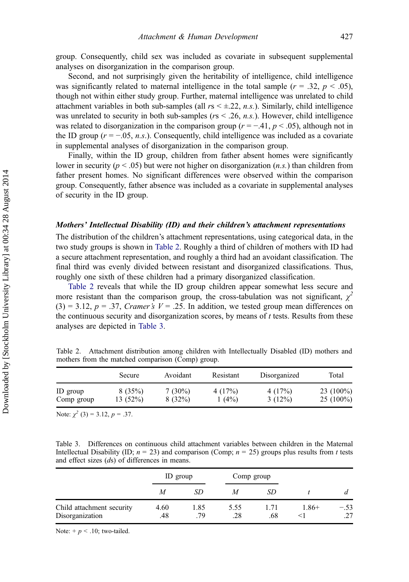<span id="page-12-0"></span>group. Consequently, child sex was included as covariate in subsequent supplemental analyses on disorganization in the comparison group.

Second, and not surprisingly given the heritability of intelligence, child intelligence was significantly related to maternal intelligence in the total sample  $(r = .32, p < .05)$ , though not within either study group. Further, maternal intelligence was unrelated to child attachment variables in both sub-samples (all  $rs \leq \pm 22$ , n.s.). Similarly, child intelligence was unrelated to security in both sub-samples ( $rs < .26$ ,  $n.s$ .). However, child intelligence was related to disorganization in the comparison group ( $r = -0.41$ ,  $p < 0.05$ ), although not in the ID group ( $r = -0.05$ , n.s.). Consequently, child intelligence was included as a covariate in supplemental analyses of disorganization in the comparison group.

Finally, within the ID group, children from father absent homes were significantly lower in security ( $p < .05$ ) but were not higher on disorganization (*n.s.*) than children from father present homes. No significant differences were observed within the comparison group. Consequently, father absence was included as a covariate in supplemental analyses of security in the ID group.

#### Mothers' Intellectual Disability (ID) and their children's attachment representations

The distribution of the children's attachment representations, using categorical data, in the two study groups is shown in Table 2. Roughly a third of children of mothers with ID had a secure attachment representation, and roughly a third had an avoidant classification. The final third was evenly divided between resistant and disorganized classifications. Thus, roughly one sixth of these children had a primary disorganized classification.

Table 2 reveals that while the ID group children appear somewhat less secure and more resistant than the comparison group, the cross-tabulation was not significant,  $\chi^2$  $(3) = 3.12$ ,  $p = .37$ , *Cramer's*  $V = .25$ . In addition, we tested group mean differences on the continuous security and disorganization scores, by means of  $t$  tests. Results from these analyses are depicted in Table 3.

Table 2. Attachment distribution among children with Intellectually Disabled (ID) mothers and mothers from the matched comparison (Comp) group.

|            | Secure  | Avoidant  | Resistant | Disorganized | Total        |
|------------|---------|-----------|-----------|--------------|--------------|
| ID group   | 8(35%)  | $7(30\%)$ | 4(17%)    | 4(17%)       | 23 $(100\%)$ |
| Comp group | 13(52%) | 8(32%)    | 1(4%)     | 3(12%)       | $25(100\%)$  |

Note:  $\chi^2$  (3) = 3.12,  $p = .37$ .

Table 3. Differences on continuous child attachment variables between children in the Maternal Intellectual Disability (ID;  $n = 23$ ) and comparison (Comp;  $n = 25$ ) groups plus results from t tests and effect sizes  $(ds)$  of differences in means.

|                                              |             | ID group    |             | Comp group  |       |               |
|----------------------------------------------|-------------|-------------|-------------|-------------|-------|---------------|
|                                              | М           | SD          | M           | SD          |       |               |
| Child attachment security<br>Disorganization | 4.60<br>.48 | 1.85<br>.79 | 5.55<br>.28 | 1.71<br>.68 | 1.86+ | $-.53$<br>.27 |

Note:  $+p < .10$ ; two-tailed.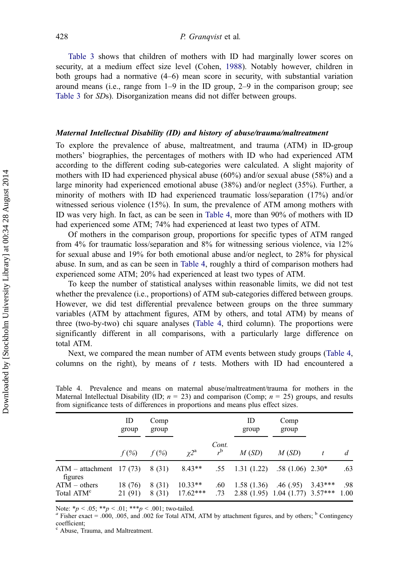[Table 3](#page-12-0) shows that children of mothers with ID had marginally lower scores on security, at a medium effect size level (Cohen, [1988](#page-18-0)). Notably however, children in both groups had a normative (4–6) mean score in security, with substantial variation around means (i.e., range from  $1-9$  in the ID group,  $2-9$  in the comparison group; see [Table 3](#page-12-0) for SDs). Disorganization means did not differ between groups.

#### Maternal Intellectual Disability (ID) and history of abuse/trauma/maltreatment

To explore the prevalence of abuse, maltreatment, and trauma (ATM) in ID-group mothers' biographies, the percentages of mothers with ID who had experienced ATM according to the different coding sub-categories were calculated. A slight majority of mothers with ID had experienced physical abuse (60%) and/or sexual abuse (58%) and a large minority had experienced emotional abuse (38%) and/or neglect (35%). Further, a minority of mothers with ID had experienced traumatic loss/separation (17%) and/or witnessed serious violence (15%). In sum, the prevalence of ATM among mothers with ID was very high. In fact, as can be seen in Table 4, more than 90% of mothers with ID had experienced some ATM; 74% had experienced at least two types of ATM.

Of mothers in the comparison group, proportions for specific types of ATM ranged from 4% for traumatic loss/separation and 8% for witnessing serious violence, via 12% for sexual abuse and 19% for both emotional abuse and/or neglect, to 28% for physical abuse. In sum, and as can be seen in Table 4, roughly a third of comparison mothers had experienced some ATM; 20% had experienced at least two types of ATM.

To keep the number of statistical analyses within reasonable limits, we did not test whether the prevalence (i.e., proportions) of ATM sub-categories differed between groups. However, we did test differential prevalence between groups on the three summary variables (ATM by attachment figures, ATM by others, and total ATM) by means of three (two-by-two) chi square analyses (Table 4, third column). The proportions were significantly different in all comparisons, with a particularly large difference on total ATM.

Next, we compared the mean number of ATM events between study groups (Table 4, columns on the right), by means of  $t$  tests. Mothers with ID had encountered a

Table 4. Prevalence and means on maternal abuse/maltreatment/trauma for mothers in the Maternal Intellectual Disability (ID;  $n = 23$ ) and comparison (Comp;  $n = 25$ ) groups, and results from significance tests of differences in proportions and means plus effect sizes.

|                                                     | ID<br>group       | Comp<br>group   |                         |                  | ID<br>group                                                    | Comp<br>group |           |     |
|-----------------------------------------------------|-------------------|-----------------|-------------------------|------------------|----------------------------------------------------------------|---------------|-----------|-----|
|                                                     | $f(\% )$          | $f(\%)$         | $\chi 2^{\rm a}$        | Cont.<br>$r^{b}$ | M(SD)                                                          | M(SD)         |           | d   |
| $ATM - attachment$ 17 (73) 8 (31) 8.43**<br>figures |                   |                 |                         |                  | $.55$ 1.31 (1.22) $.58$ (1.06) 2.30*                           |               |           | .63 |
| $ATM - others$<br>Total ATM <sup>c</sup>            | 18 (76)<br>21(91) | 8 (31)<br>8(31) | $10.33**$<br>$17.62***$ | .60<br>.73       | $1.58(1.36)$ .46 (.95)<br>2.88 (1.95) 1.04 (1.77) 3.57*** 1.00 |               | $3.43***$ | .98 |

Note:  $*p < .05$ ;  $*^*p < .01$ ;  $**^*p < .001$ ; two-tailed.<br><sup>*a*</sup> Fisher exact = .000, .005, and .002 for Total ATM, ATM by attachment figures, and by others; <sup>b</sup> Contingency coefficient;

<sup>c</sup> Abuse, Trauma, and Maltreatment.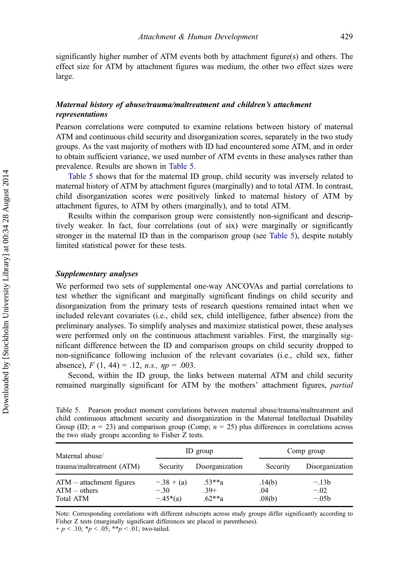<span id="page-14-0"></span>significantly higher number of ATM events both by attachment figure(s) and others. The effect size for ATM by attachment figures was medium, the other two effect sizes were large.

# Maternal history of abuse/trauma/maltreatment and children's attachment representations

Pearson correlations were computed to examine relations between history of maternal ATM and continuous child security and disorganization scores, separately in the two study groups. As the vast majority of mothers with ID had encountered some ATM, and in order to obtain sufficient variance, we used number of ATM events in these analyses rather than prevalence. Results are shown in Table 5.

Table 5 shows that for the maternal ID group, child security was inversely related to maternal history of ATM by attachment figures (marginally) and to total ATM. In contrast, child disorganization scores were positively linked to maternal history of ATM by attachment figures, to ATM by others (marginally), and to total ATM.

Results within the comparison group were consistently non-significant and descriptively weaker. In fact, four correlations (out of six) were marginally or significantly stronger in the maternal ID than in the comparison group (see Table 5), despite notably limited statistical power for these tests.

#### Supplementary analyses

We performed two sets of supplemental one-way ANCOVAs and partial correlations to test whether the significant and marginally significant findings on child security and disorganization from the primary tests of research questions remained intact when we included relevant covariates (i.e., child sex, child intelligence, father absence) from the preliminary analyses. To simplify analyses and maximize statistical power, these analyses were performed only on the continuous attachment variables. First, the marginally significant difference between the ID and comparison groups on child security dropped to non-significance following inclusion of the relevant covariates (i.e., child sex, father absence),  $F(1, 44) = .12$ , n.s.,  $np = .003$ .

Second, within the ID group, the links between maternal ATM and child security remained marginally significant for ATM by the mothers' attachment figures, partial

Table 5. Pearson product moment correlations between maternal abuse/trauma/maltreatment and child continuous attachment security and disorganization in the Maternal Intellectual Disability Group (ID;  $n = 23$ ) and comparison group (Comp;  $n = 25$ ) plus differences in correlations across the two study groups according to Fisher Z tests.

| Maternal abuse/                                           |                                     | ID group                       | Comp group              |                              |  |
|-----------------------------------------------------------|-------------------------------------|--------------------------------|-------------------------|------------------------------|--|
| trauma/maltreatment (ATM)                                 | Security                            | Disorganization                | Security                | Disorganization              |  |
| $ATM - attachment figures$<br>$ATM - others$<br>Total ATM | $-.38 + (a)$<br>$-.30$<br>$-45*(a)$ | $.53**a$<br>$.39+$<br>$.62**a$ | .14(b)<br>.04<br>.08(b) | $-.13b$<br>$-.02$<br>$-.05b$ |  |

Note: Corresponding correlations with different subscripts across study groups differ significantly according to Fisher Z tests (marginally significant differences are placed in parentheses).

+  $p$  < .10; \* $p$  < .05; \*\* $p$  < .01; two-tailed.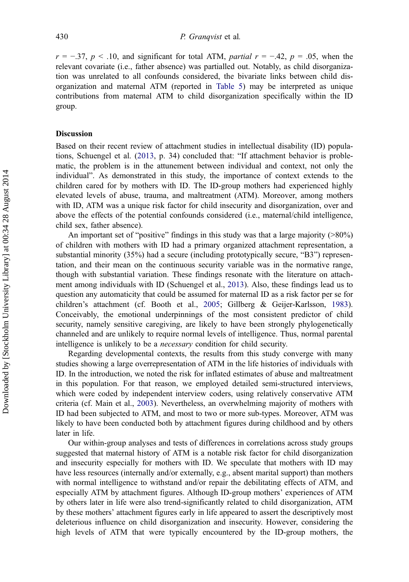$r = -0.37$ ,  $p < 0.10$ , and significant for total ATM, partial  $r = -0.42$ ,  $p = 0.05$ , when the relevant covariate (i.e., father absence) was partialled out. Notably, as child disorganization was unrelated to all confounds considered, the bivariate links between child disorganization and maternal ATM (reported in [Table 5\)](#page-14-0) may be interpreted as unique contributions from maternal ATM to child disorganization specifically within the ID group.

#### **Discussion**

Based on their recent review of attachment studies in intellectual disability (ID) populations, Schuengel et al. ([2013,](#page-20-0) p. 34) concluded that: "If attachment behavior is problematic, the problem is in the attunement between individual and context, not only the individual". As demonstrated in this study, the importance of context extends to the children cared for by mothers with ID. The ID-group mothers had experienced highly elevated levels of abuse, trauma, and maltreatment (ATM). Moreover, among mothers with ID, ATM was a unique risk factor for child insecurity and disorganization, over and above the effects of the potential confounds considered (i.e., maternal/child intelligence, child sex, father absence).

An important set of "positive" findings in this study was that a large majority (>80%) of children with mothers with ID had a primary organized attachment representation, a substantial minority (35%) had a secure (including prototypically secure, "B3") representation, and their mean on the continuous security variable was in the normative range, though with substantial variation. These findings resonate with the literature on attachment among individuals with ID (Schuengel et al., [2013\)](#page-20-0). Also, these findings lead us to question any automaticity that could be assumed for maternal ID as a risk factor per se for children's attachment (cf. Booth et al., [2005;](#page-18-0) Gillberg & Geijer-Karlsson, [1983](#page-19-0)). Conceivably, the emotional underpinnings of the most consistent predictor of child security, namely sensitive caregiving, are likely to have been strongly phylogenetically channeled and are unlikely to require normal levels of intelligence. Thus, normal parental intelligence is unlikely to be a necessary condition for child security.

Regarding developmental contexts, the results from this study converge with many studies showing a large overrepresentation of ATM in the life histories of individuals with ID. In the introduction, we noted the risk for inflated estimates of abuse and maltreatment in this population. For that reason, we employed detailed semi-structured interviews, which were coded by independent interview coders, using relatively conservative ATM criteria (cf. Main et al., [2003](#page-20-0)). Nevertheless, an overwhelming majority of mothers with ID had been subjected to ATM, and most to two or more sub-types. Moreover, ATM was likely to have been conducted both by attachment figures during childhood and by others later in life.

Our within-group analyses and tests of differences in correlations across study groups suggested that maternal history of ATM is a notable risk factor for child disorganization and insecurity especially for mothers with ID. We speculate that mothers with ID may have less resources (internally and/or externally, e.g., absent marital support) than mothers with normal intelligence to withstand and/or repair the debilitating effects of ATM, and especially ATM by attachment figures. Although ID-group mothers' experiences of ATM by others later in life were also trend-significantly related to child disorganization, ATM by these mothers' attachment figures early in life appeared to assert the descriptively most deleterious influence on child disorganization and insecurity. However, considering the high levels of ATM that were typically encountered by the ID-group mothers, the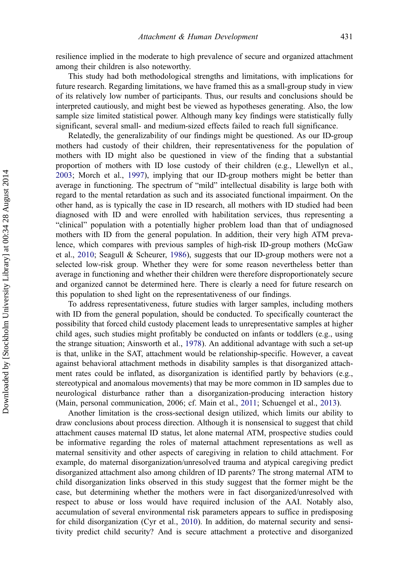resilience implied in the moderate to high prevalence of secure and organized attachment among their children is also noteworthy.

This study had both methodological strengths and limitations, with implications for future research. Regarding limitations, we have framed this as a small-group study in view of its relatively low number of participants. Thus, our results and conclusions should be interpreted cautiously, and might best be viewed as hypotheses generating. Also, the low sample size limited statistical power. Although many key findings were statistically fully significant, several small- and medium-sized effects failed to reach full significance.

Relatedly, the generalizability of our findings might be questioned. As our ID-group mothers had custody of their children, their representativeness for the population of mothers with ID might also be questioned in view of the finding that a substantial proportion of mothers with ID lose custody of their children (e.g., Llewellyn et al., [2003](#page-19-0); Morch et al., [1997](#page-20-0)), implying that our ID-group mothers might be better than average in functioning. The spectrum of "mild" intellectual disability is large both with regard to the mental retardation as such and its associated functional impairment. On the other hand, as is typically the case in ID research, all mothers with ID studied had been diagnosed with ID and were enrolled with habilitation services, thus representing a "clinical" population with a potentially higher problem load than that of undiagnosed mothers with ID from the general population. In addition, their very high ATM prevalence, which compares with previous samples of high-risk ID-group mothers (McGaw et al., [2010;](#page-20-0) Seagull & Scheurer, [1986](#page-20-0)), suggests that our ID-group mothers were not a selected low-risk group. Whether they were for some reason nevertheless better than average in functioning and whether their children were therefore disproportionately secure and organized cannot be determined here. There is clearly a need for future research on this population to shed light on the representativeness of our findings.

To address representativeness, future studies with larger samples, including mothers with ID from the general population, should be conducted. To specifically counteract the possibility that forced child custody placement leads to unrepresentative samples at higher child ages, such studies might profitably be conducted on infants or toddlers (e.g., using the strange situation; Ainsworth et al., [1978](#page-18-0)). An additional advantage with such a set-up is that, unlike in the SAT, attachment would be relationship-specific. However, a caveat against behavioral attachment methods in disability samples is that disorganized attachment rates could be inflated, as disorganization is identified partly by behaviors (e.g., stereotypical and anomalous movements) that may be more common in ID samples due to neurological disturbance rather than a disorganization-producing interaction history (Main, personal communication, 2006; cf. Main et al., [2011](#page-20-0); Schuengel et al., [2013](#page-20-0)).

Another limitation is the cross-sectional design utilized, which limits our ability to draw conclusions about process direction. Although it is nonsensical to suggest that child attachment causes maternal ID status, let alone maternal ATM, prospective studies could be informative regarding the roles of maternal attachment representations as well as maternal sensitivity and other aspects of caregiving in relation to child attachment. For example, do maternal disorganization/unresolved trauma and atypical caregiving predict disorganized attachment also among children of ID parents? The strong maternal ATM to child disorganization links observed in this study suggest that the former might be the case, but determining whether the mothers were in fact disorganized/unresolved with respect to abuse or loss would have required inclusion of the AAI. Notably also, accumulation of several environmental risk parameters appears to suffice in predisposing for child disorganization (Cyr et al., [2010\)](#page-19-0). In addition, do maternal security and sensitivity predict child security? And is secure attachment a protective and disorganized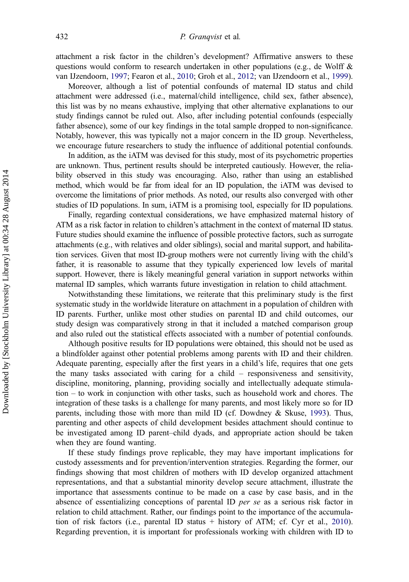attachment a risk factor in the children's development? Affirmative answers to these questions would conform to research undertaken in other populations (e.g., de Wolff  $\&$ van IJzendoorn, [1997;](#page-19-0) Fearon et al., [2010;](#page-19-0) Groh et al., [2012;](#page-19-0) van IJzendoorn et al., [1999](#page-21-0)).

Moreover, although a list of potential confounds of maternal ID status and child attachment were addressed (i.e., maternal/child intelligence, child sex, father absence), this list was by no means exhaustive, implying that other alternative explanations to our study findings cannot be ruled out. Also, after including potential confounds (especially father absence), some of our key findings in the total sample dropped to non-significance. Notably, however, this was typically not a major concern in the ID group. Nevertheless, we encourage future researchers to study the influence of additional potential confounds.

In addition, as the iATM was devised for this study, most of its psychometric properties are unknown. Thus, pertinent results should be interpreted cautiously. However, the reliability observed in this study was encouraging. Also, rather than using an established method, which would be far from ideal for an ID population, the iATM was devised to overcome the limitations of prior methods. As noted, our results also converged with other studies of ID populations. In sum, iATM is a promising tool, especially for ID populations.

Finally, regarding contextual considerations, we have emphasized maternal history of ATM as a risk factor in relation to children's attachment in the context of maternal ID status. Future studies should examine the influence of possible protective factors, such as surrogate attachments (e.g., with relatives and older siblings), social and marital support, and habilitation services. Given that most ID-group mothers were not currently living with the child's father, it is reasonable to assume that they typically experienced low levels of marital support. However, there is likely meaningful general variation in support networks within maternal ID samples, which warrants future investigation in relation to child attachment.

Notwithstanding these limitations, we reiterate that this preliminary study is the first systematic study in the worldwide literature on attachment in a population of children with ID parents. Further, unlike most other studies on parental ID and child outcomes, our study design was comparatively strong in that it included a matched comparison group and also ruled out the statistical effects associated with a number of potential confounds.

Although positive results for ID populations were obtained, this should not be used as a blindfolder against other potential problems among parents with ID and their children. Adequate parenting, especially after the first years in a child's life, requires that one gets the many tasks associated with caring for a child – responsiveness and sensitivity, discipline, monitoring, planning, providing socially and intellectually adequate stimulation – to work in conjunction with other tasks, such as household work and chores. The integration of these tasks is a challenge for many parents, and most likely more so for ID parents, including those with more than mild ID (cf. Dowdney & Skuse, [1993\)](#page-19-0). Thus, parenting and other aspects of child development besides attachment should continue to be investigated among ID parent–child dyads, and appropriate action should be taken when they are found wanting.

If these study findings prove replicable, they may have important implications for custody assessments and for prevention/intervention strategies. Regarding the former, our findings showing that most children of mothers with ID develop organized attachment representations, and that a substantial minority develop secure attachment, illustrate the importance that assessments continue to be made on a case by case basis, and in the absence of essentializing conceptions of parental ID *per se* as a serious risk factor in relation to child attachment. Rather, our findings point to the importance of the accumulation of risk factors (i.e., parental ID status + history of ATM; cf. Cyr et al., [2010](#page-19-0)). Regarding prevention, it is important for professionals working with children with ID to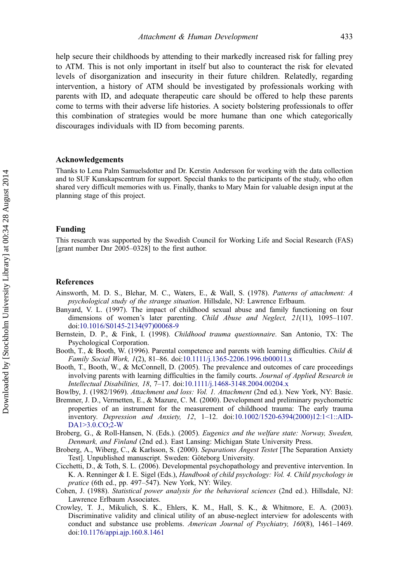<span id="page-18-0"></span>help secure their childhoods by attending to their markedly increased risk for falling prey to ATM. This is not only important in itself but also to counteract the risk for elevated levels of disorganization and insecurity in their future children. Relatedly, regarding intervention, a history of ATM should be investigated by professionals working with parents with ID, and adequate therapeutic care should be offered to help these parents come to terms with their adverse life histories. A society bolstering professionals to offer this combination of strategies would be more humane than one which categorically discourages individuals with ID from becoming parents.

#### Acknowledgements

Thanks to Lena Palm Samuelsdotter and Dr. Kerstin Andersson for working with the data collection and to SUF Kunskapscentrum for support. Special thanks to the participants of the study, who often shared very difficult memories with us. Finally, thanks to Mary Main for valuable design input at the planning stage of this project.

#### Funding

This research was supported by the Swedish Council for Working Life and Social Research (FAS) [grant number Dnr 2005–0328] to the first author.

#### References

- Ainsworth, M. D. S., Blehar, M. C., Waters, E., & Wall, S. (1978). Patterns of attachment: A psychological study of the strange situation. Hillsdale, NJ: Lawrence Erlbaum.
- Banyard, V. L. (1997). The impact of childhood sexual abuse and family functioning on four dimensions of women's later parenting. *Child Abuse and Neglect*, 21(11), 1095–1107. doi[:10.1016/S0145-2134\(97\)00068-9](http://dx.doi.org/10.1016/S0145-2134(97)00068-9)
- Bernstein, D. P., & Fink, I. (1998). Childhood trauma questionnaire. San Antonio, TX: The Psychological Corporation.
- Booth, T., & Booth, W. (1996). Parental competence and parents with learning difficulties. Child & Family Social Work, 1(2), 81–86. doi:[10.1111/j.1365-2206.1996.tb00011.x](http://dx.doi.org/10.1111/j.1365-2206.1996.tb00011.x)
- Booth, T., Booth, W., & McConnell, D. (2005). The prevalence and outcomes of care proceedings involving parents with learning difficulties in the family courts. Journal of Applied Research in Intellectual Disabilities, 18, 7–17. doi:[10.1111/j.1468-3148.2004.00204.x](http://dx.doi.org/10.1111/j.1468-3148.2004.00204.x)
- Bowlby, J. (1982/1969). Attachment and loss: Vol. 1. Attachment (2nd ed.). New York, NY: Basic.
- Bremner, J. D., Vermetten, E., & Mazure, C. M. (2000). Development and preliminary psychometric properties of an instrument for the measurement of childhood trauma: The early trauma inventory. Depression and Anxiety, 12, 1–12. doi:[10.1002/1520-6394\(2000\)12:1<1::AID-](http://dx.doi.org/10.1002/1520-6394(2000)12:1%3C1::AID-DA1%3E3.0.CO;2-W)[DA1>3.0.CO;2-W](http://dx.doi.org/10.1002/1520-6394(2000)12:1%3C1::AID-DA1%3E3.0.CO;2-W)
- Broberg, G., & Roll-Hansen, N. (Eds.). (2005). Eugenics and the welfare state: Norway, Sweden, Denmark, and Finland (2nd ed.). East Lansing: Michigan State University Press.
- Broberg, A., Wiberg, C., & Karlsson, S. (2000). Separations Ångest Testet [The Separation Anxiety Test]. Unpublished manuscript. Sweden: Göteborg University.
- Cicchetti, D., & Toth, S. L. (2006). Developmental psychopathology and preventive intervention. In K. A. Renninger & I. E. Sigel (Eds.), *Handbook of child psychology: Vol. 4. Child psychology in* pratice (6th ed., pp. 497–547). New York, NY: Wiley.
- Cohen, J. (1988). Statistical power analysis for the behavioral sciences (2nd ed.). Hillsdale, NJ: Lawrence Erlbaum Associates.
- Crowley, T. J., Mikulich, S. K., Ehlers, K. M., Hall, S. K., & Whitmore, E. A. (2003). Discriminative validity and clinical utility of an abuse-neglect interview for adolescents with conduct and substance use problems. American Journal of Psychiatry, 160(8), 1461–1469. doi[:10.1176/appi.ajp.160.8.1461](http://dx.doi.org/10.1176/appi.ajp.160.8.1461)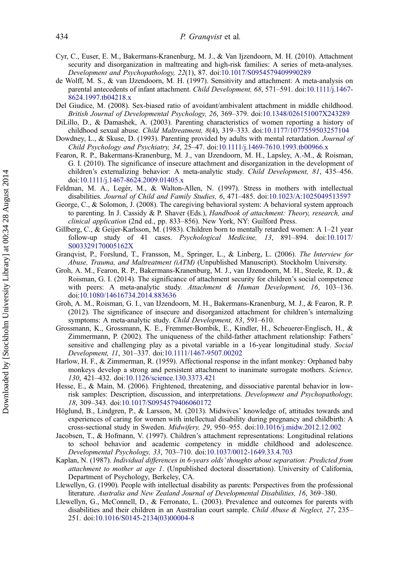- <span id="page-19-0"></span>Cyr, C., Euser, E. M., Bakermans-Kranenburg, M. J., & Van Ijzendoorn, M. H. (2010). Attachment security and disorganization in maltreating and high-risk families: A series of meta-analyses. Development and Psychopathology, 22(1), 87. doi[:10.1017/S0954579409990289](http://dx.doi.org/10.1017/S0954579409990289)
- de Wolff, M. S., & van IJzendoorn, M. H. (1997). Sensitivity and attachment: A meta-analysis on parental antecedents of infant attachment. Child Development, 68, 571-591. doi:[10.1111/j.1467-](http://dx.doi.org/10.1111/j.1467-8624.1997.tb04218.x) [8624.1997.tb04218.x](http://dx.doi.org/10.1111/j.1467-8624.1997.tb04218.x)
- Del Giudice, M. (2008). Sex-biased ratio of avoidant/ambivalent attachment in middle childhood. British Journal of Developmental Psychology, 26, 369–379. doi:[10.1348/026151007X243289](http://dx.doi.org/10.1348/026151007X243289)
- DiLillo, D., & Damashek, A. (2003). Parenting characteristics of women reporting a history of childhood sexual abuse. Child Maltreatment, 8(4), 319–333. doi[:10.1177/1077559503257104](http://dx.doi.org/10.1177/1077559503257104)
- Dowdney, L., & Skuse, D. (1993). Parenting provided by adults with mental retardation. Journal of Child Psychology and Psychiatry, 34, 25–47. doi:[10.1111/j.1469-7610.1993.tb00966.x](http://dx.doi.org/10.1111/j.1469-7610.1993.tb00966.x)
- Fearon, R. P., Bakermans-Kranenburg, M. J., van IJzendoorn, M. H., Lapsley, A.-M., & Roisman, G. I. (2010). The significance of insecure attachment and disorganization in the development of children's externalizing behavior: A meta-analytic study. Child Development, 81, 435–456. doi[:10.1111/j.1467-8624.2009.01405.x](http://dx.doi.org/10.1111/j.1467-8624.2009.01405.x)
- Feldman, M. A., Legér, M., & Walton-Allen, N. (1997). Stress in mothers with intellectual disabilities. Journal of Child and Family Studies, 6, 471–485. doi:[10.1023/A:1025049513597](http://dx.doi.org/10.1023/A:1025049513597)
- George, C., & Solomon, J. (2008). The caregiving behavioral system: A behavioral system approach to parenting. In J. Cassidy & P. Shaver (Eds.), Handbook of attachment: Theory, research, and clinical application (2nd ed., pp. 833–856). New York, NY: Guilford Press.
- Gillberg, C., & Geijer-Karlsson, M. (1983). Children born to mentally retarded women: A 1–21 year follow-up study of 41 cases. Psychological Medicine, 13, 891–894. doi[:10.1017/](http://dx.doi.org/10.1017/S003329170005162X) [S003329170005162X](http://dx.doi.org/10.1017/S003329170005162X)
- Granqvist, P., Forslund, T., Fransson, M., Springer, L., & Linberg, L. (2006). The Interview for Abuse, Trauma, and Maltreatment (iATM) (Unpublished Manuscript). Stockholm University.
- Groh, A. M., Fearon, R. P., Bakermans-Kranenburg, M. J., van IJzendoorn, M. H., Steele, R. D., & Roisman, G. I. (2014). The significance of attachment security for children's social competence with peers: A meta-analytic study. Attachment & Human Development, 16, 103-136. doi[:10.1080/14616734.2014.883636](http://dx.doi.org/10.1080/14616734.2014.883636)
- Groh, A. M., Roisman, G. I., van IJzendoorn, M. H., Bakermans-Kranenburg, M. J., & Fearon, R. P. (2012). The significance of insecure and disorganized attachment for children's internalizing symptoms: A meta-analytic study. Child Development, 83, 591-610.
- Grossmann, K., Grossmann, K. E., Fremmer-Bombik, E., Kindler, H., Scheuerer-Englisch, H., & Zimmermann, P. (2002). The uniqueness of the child-father attachment relationship: Fathers' sensitive and challenging play as a pivotal variable in a 16-year longitudinal study. Social Development, 11, 301–337. doi[:10.1111/1467-9507.00202](http://dx.doi.org/10.1111/1467-9507.00202)
- Harlow, H. F., & Zimmerman, R. (1959). Affectional response in the infant monkey: Orphaned baby monkeys develop a strong and persistent attachment to inanimate surrogate mothers. Science, 130, 421–432. doi[:10.1126/science.130.3373.421](http://dx.doi.org/10.1126/science.130.3373.421)
- Hesse, E., & Main, M. (2006). Frightened, threatening, and dissociative parental behavior in lowrisk samples: Description, discussion, and interpretations. Development and Psychopathology, 18, 309–343. doi:[10.1017/S0954579406060172](http://dx.doi.org/10.1017/S0954579406060172)
- Höglund, B., Lindgren, P., & Larsson, M. (2013). Midwives' knowledge of, attitudes towards and experiences of caring for women with intellectual disability during pregnancy and childbirth: A cross-sectional study in Sweden. Midwifery, 29, 950–955. doi[:10.1016/j.midw.2012.12.002](http://dx.doi.org/10.1016/j.midw.2012.12.002)
- Jacobsen, T., & Hofmann, V. (1997). Children's attachment representations: Longitudinal relations to school behavior and academic competency in middle childhood and adolescence. Developmental Psychology, 33, 703–710. doi[:10.1037/0012-1649.33.4.703](http://dx.doi.org/10.1037/0012-1649.33.4.703)
- Kaplan, N. (1987). Individual differences in 6-years olds'thoughts about separation: Predicted from attachment to mother at age 1. (Unpublished doctoral dissertation). University of California, Department of Psychology, Berkeley, CA.
- Llewellyn, G. (1990). People with intellectual disability as parents: Perspectives from the professional literature. Australia and New Zealand Journal of Developmental Disabilities, 16, 369–380.
- Llewellyn, G., McConnell, D., & Ferronato, L. (2003). Prevalence and outcomes for parents with disabilities and their children in an Australian court sample. Child Abuse & Neglect, 27, 235– 251. doi:[10.1016/S0145-2134\(03\)00004-8](http://dx.doi.org/10.1016/S0145-2134(03)00004-8)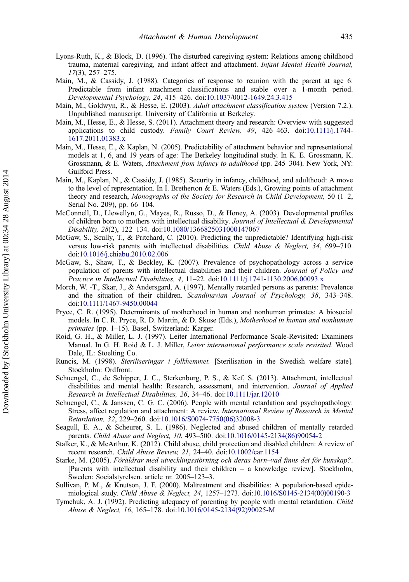- <span id="page-20-0"></span>Lyons-Ruth, K., & Block, D. (1996). The disturbed caregiving system: Relations among childhood trauma, maternal caregiving, and infant affect and attachment. Infant Mental Health Journal, 17(3), 257–275.
- Main, M., & Cassidy, J. (1988). Categories of response to reunion with the parent at age 6: Predictable from infant attachment classifications and stable over a 1-month period. Developmental Psychology, 24, 415–426. doi[:10.1037/0012-1649.24.3.415](http://dx.doi.org/10.1037/0012-1649.24.3.415)
- Main, M., Goldwyn, R., & Hesse, E. (2003). Adult attachment classification system (Version 7.2.). Unpublished manuscript. University of California at Berkeley.
- Main, M., Hesse, E., & Hesse, S. (2011). Attachment theory and research: Overview with suggested applications to child custody. Family Court Review, 49, 426-463. doi:[10.1111/j.1744-](http://dx.doi.org/10.1111/j.1744-1617.2011.01383.x) [1617.2011.01383.x](http://dx.doi.org/10.1111/j.1744-1617.2011.01383.x)
- Main, M., Hesse, E., & Kaplan, N. (2005). Predictability of attachment behavior and representational models at 1, 6, and 19 years of age: The Berkeley longitudinal study. In K. E. Grossmann, K. Grossmann, & E. Waters, Attachment from infancy to adulthood (pp. 245–304). New York, NY: Guilford Press.
- Main, M., Kaplan, N., & Cassidy, J. (1985). Security in infancy, childhood, and adulthood: A move to the level of representation. In I. Bretherton  $\&$  E. Waters (Eds.), Growing points of attachment theory and research, Monographs of the Society for Research in Child Development, 50 (1–2, Serial No. 209), pp. 66–104.
- McConnell, D., Llewellyn, G., Mayes, R., Russo, D., & Honey, A. (2003). Developmental profiles of children born to mothers with intellectual disability. Journal of Intellectual & Developmental Disability, 28(2), 122–134. doi:[10.1080/1366825031000147067](http://dx.doi.org/10.1080/1366825031000147067)
- McGaw, S., Scully, T., & Pritchard, C. (2010). Predicting the unpredictable? Identifying high-risk versus low-risk parents with intellectual disabilities. Child Abuse & Neglect, 34, 699–710. doi[:10.1016/j.chiabu.2010.02.006](http://dx.doi.org/10.1016/j.chiabu.2010.02.006)
- McGaw, S., Shaw, T., & Beckley, K. (2007). Prevalence of psychopathology across a service population of parents with intellectual disabilities and their children. Journal of Policy and Practice in Intellectual Disabilities, 4, 11–22. doi[:10.1111/j.1741-1130.2006.00093.x](http://dx.doi.org/10.1111/j.1741-1130.2006.00093.x)
- Morch, W. -T., Skar, J., & Andersgard, A. (1997). Mentally retarded persons as parents: Prevalence and the situation of their children. Scandinavian Journal of Psychology, 38, 343–348. doi[:10.1111/1467-9450.00044](http://dx.doi.org/10.1111/1467-9450.00044)
- Pryce, C. R. (1995). Determinants of motherhood in human and nonhuman primates: A biosocial models. In C. R. Pryce, R. D. Martin, & D. Skuse (Eds.), Motherhood in human and nonhuman primates (pp. 1–15). Basel, Switzerland: Karger.
- Roid, G. H., & Miller, L. J. (1997). Leiter International Performance Scale-Revisited: Examiners Manual. In G. H. Roid & L. J. Miller, Leiter international performance scale revisited. Wood Dale, IL: Stoelting Co.
- Runcis, M. (1998). Steriliseringar i folkhemmet. [Sterilisation in the Swedish welfare state]. Stockholm: Ordfront.
- Schuengel, C., de Schipper, J. C., Sterkenburg, P. S., & Kef, S. (2013). Attachment, intellectual disabilities and mental health: Research, assessment, and intervention. Journal of Applied Research in Intellectual Disabilities, 26, 34–46. doi:[10.1111/jar.12010](http://dx.doi.org/10.1111/jar.12010)
- Schuengel, C., & Janssen, C. G. C. (2006). People with mental retardation and psychopathology: Stress, affect regulation and attachment: A review. *International Review of Research in Mental* Retardation, 32, 229–260. doi[:10.1016/S0074-7750\(06\)32008-3](http://dx.doi.org/10.1016/S0074-7750(06)32008-3)
- Seagull, E. A., & Scheurer, S. L. (1986). Neglected and abused children of mentally retarded parents. Child Abuse and Neglect, 10, 493–500. doi:[10.1016/0145-2134\(86\)90054-2](http://dx.doi.org/10.1016/0145-2134(86)90054-2)
- Stalker, K., & McArthur, K. (2012). Child abuse, child protection and disabled children: A review of recent research. Child Abuse Review, 21, 24–40. doi:[10.1002/car.1154](http://dx.doi.org/10.1002/car.1154)
- Starke, M. (2005). Föräldrar med utvecklingsstörning och deras barn–vad finns det för kunskap?. [Parents with intellectual disability and their children – a knowledge review]. Stockholm, Sweden: Socialstyrelsen. article nr. 2005–123–3.
- Sullivan, P. M., & Knutson, J. F. (2000). Maltreatment and disabilities: A population-based epidemiological study. Child Abuse & Neglect, 24, 1257–1273. doi:[10.1016/S0145-2134\(00\)00190-3](http://dx.doi.org/10.1016/S0145-2134(00)00190-3)
- Tymchuk, A. J. (1992). Predicting adequacy of parenting by people with mental retardation. Child Abuse & Neglect, 16, 165–178. doi:[10.1016/0145-2134\(92\)90025-M](http://dx.doi.org/10.1016/0145-2134(92)90025-M)